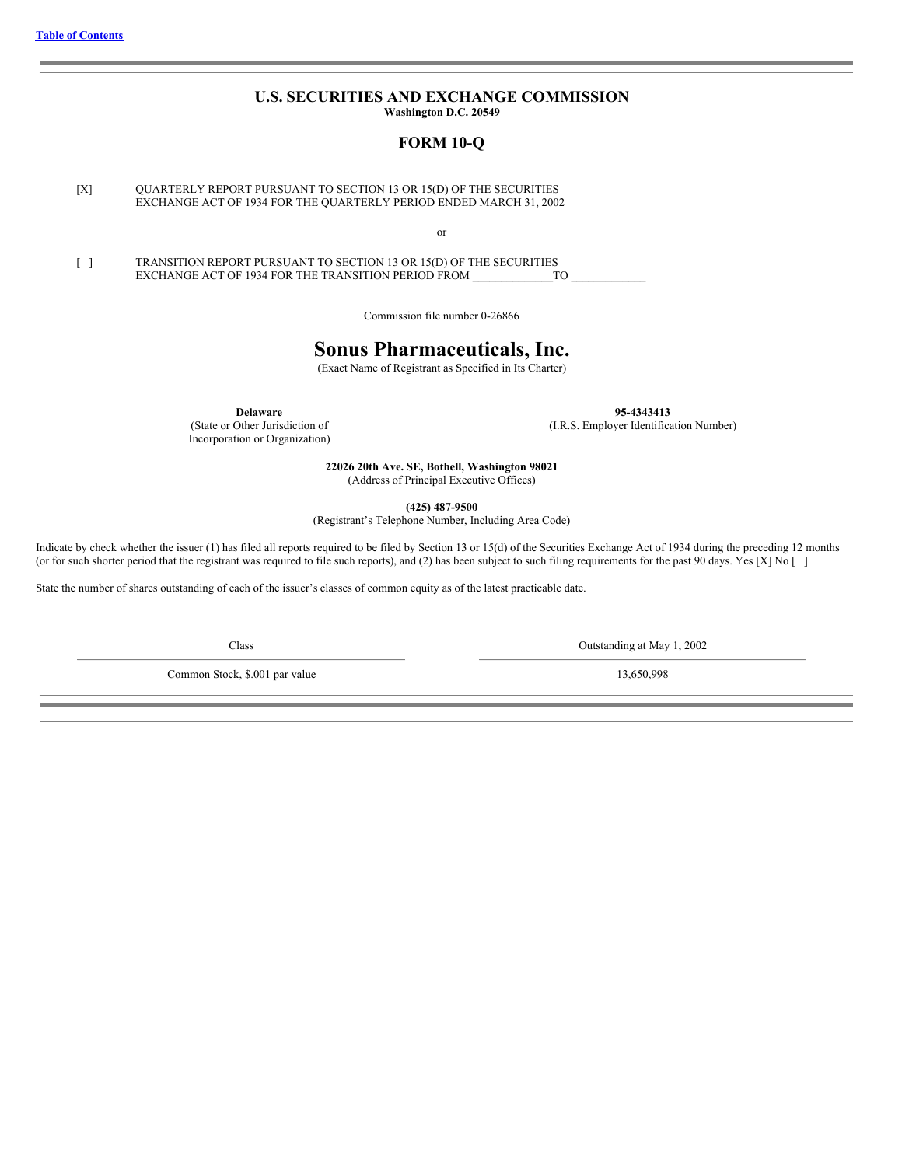## **U.S. SECURITIES AND EXCHANGE COMMISSION Washington D.C. 20549**

## **FORM 10-Q**

<span id="page-0-0"></span>[X] QUARTERLY REPORT PURSUANT TO SECTION 13 OR 15(D) OF THE SECURITIES EXCHANGE ACT OF 1934 FOR THE QUARTERLY PERIOD ENDED MARCH 31, 2002

or

[ ] TRANSITION REPORT PURSUANT TO SECTION 13 OR 15(D) OF THE SECURITIES<br>EXCHANGE ACT OF 1934 FOR THE TRANSITION PERIOD FROM TO EXCHANGE ACT OF 1934 FOR THE TRANSITION PERIOD FROM

Commission file number 0-26866

# **Sonus Pharmaceuticals, Inc.**

(Exact Name of Registrant as Specified in Its Charter)

**Delaware** 95-4343413<br>(State or Other Jurisdiction of *I.R.S. Employer Identifica* Incorporation or Organization)

(I.R.S. Employer Identification Number)

**22026 20th Ave. SE, Bothell, Washington 98021** (Address of Principal Executive Offices)

**(425) 487-9500**

(Registrant's Telephone Number, Including Area Code)

Indicate by check whether the issuer (1) has filed all reports required to be filed by Section 13 or 15(d) of the Securities Exchange Act of 1934 during the preceding 12 months (or for such shorter period that the registrant was required to file such reports), and (2) has been subject to such filing requirements for the past 90 days. Yes [X] No []

State the number of shares outstanding of each of the issuer's classes of common equity as of the latest practicable date.

Common Stock, \$.001 par value 13,650,998

Class Outstanding at May 1, 2002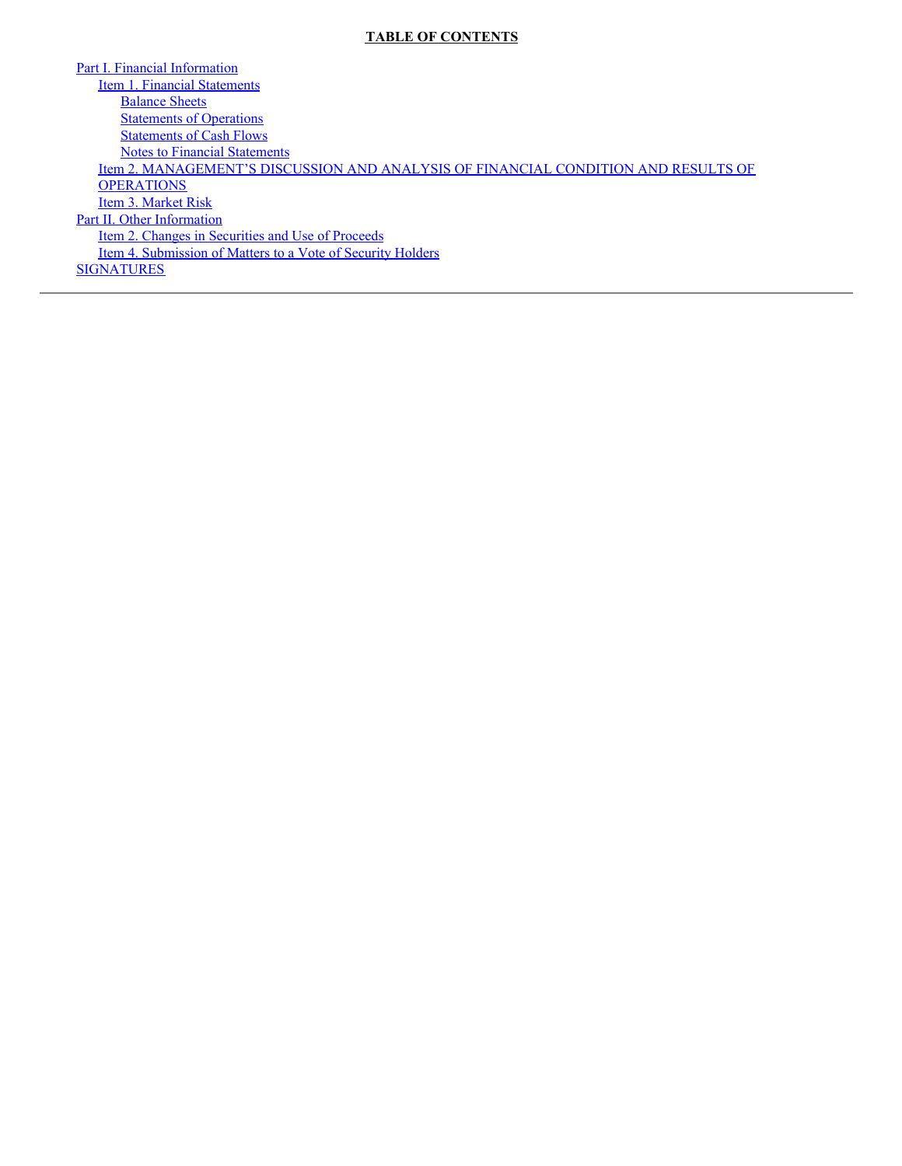## **TABLE OF CONTENTS**

Part I. Financial [Information](#page-3-0) Item 1. Financial [Statements](#page-3-1) **[Balance](#page-3-2) Sheets [Statements](#page-4-0) of Operations** [Statements](#page-5-0) of Cash Flows Notes to Financial [Statements](#page-6-0) Item 2. [MANAGEMENT'S](#page-7-0) DISCUSSION AND ANALYSIS OF FINANCIAL CONDITION AND RESULTS OF **OPERATIONS** Item 3. [Market](#page-11-0) Risk Part II. Other [Information](#page-11-1) Item 2. Changes in [Securities](#page-11-2) and Use of Proceeds Item 4. [Submission](#page-11-3) of Matters to a Vote of Security Holders **[SIGNATURES](#page-12-0)**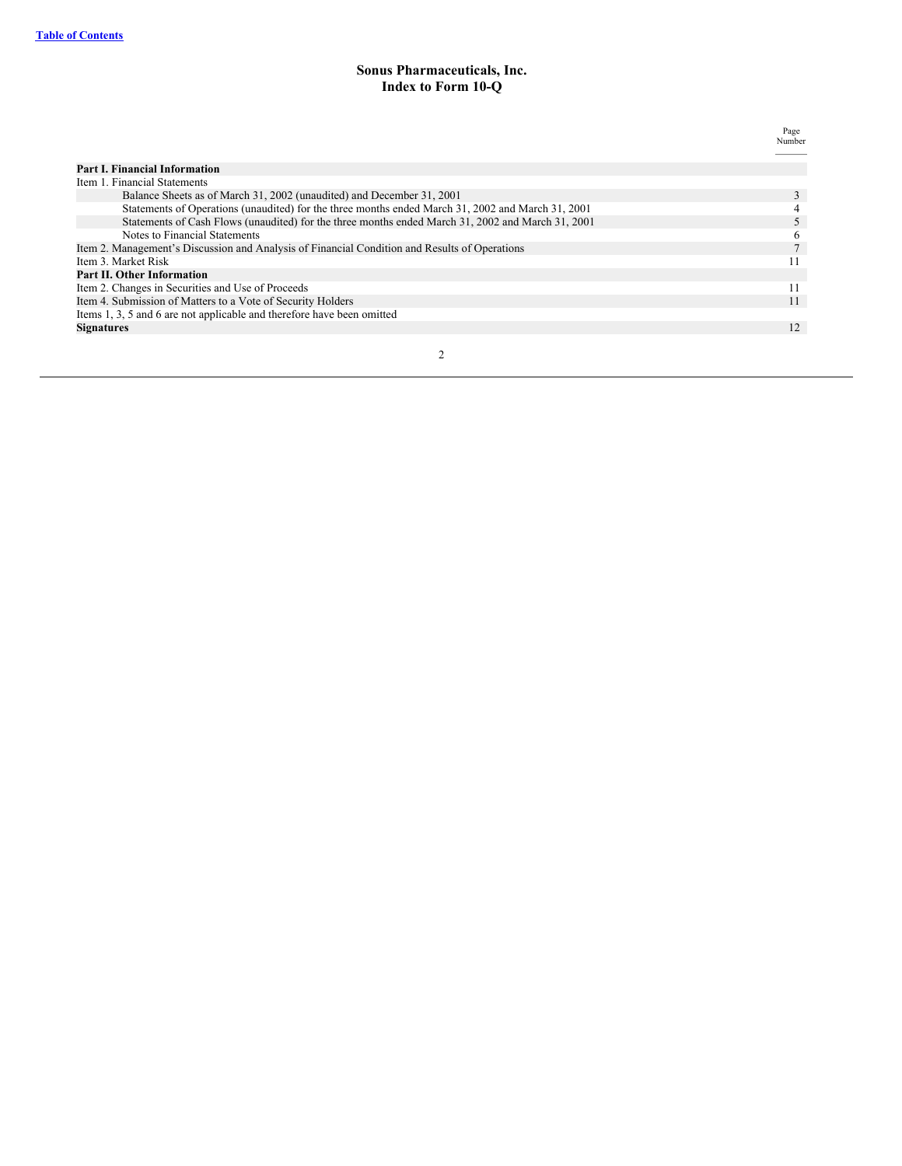## **Sonus Pharmaceuticals, Inc. Index to Form 10-Q**

|                                                                                                   | Page         |
|---------------------------------------------------------------------------------------------------|--------------|
|                                                                                                   | Number       |
|                                                                                                   |              |
| <b>Part I. Financial Information</b>                                                              |              |
| Item 1. Financial Statements                                                                      |              |
| Balance Sheets as of March 31, 2002 (unaudited) and December 31, 2001                             |              |
| Statements of Operations (unaudited) for the three months ended March 31, 2002 and March 31, 2001 |              |
| Statements of Cash Flows (unaudited) for the three months ended March 31, 2002 and March 31, 2001 |              |
| Notes to Financial Statements                                                                     | <sub>0</sub> |
| Item 2. Management's Discussion and Analysis of Financial Condition and Results of Operations     | $\mathbf{r}$ |
| Item 3. Market Risk                                                                               |              |
| <b>Part II. Other Information</b>                                                                 |              |
| Item 2. Changes in Securities and Use of Proceeds                                                 | 11           |
| Item 4. Submission of Matters to a Vote of Security Holders                                       | 11           |
| Items 1, 3, 5 and 6 are not applicable and therefore have been omitted                            |              |
| <b>Signatures</b>                                                                                 | 12           |
|                                                                                                   |              |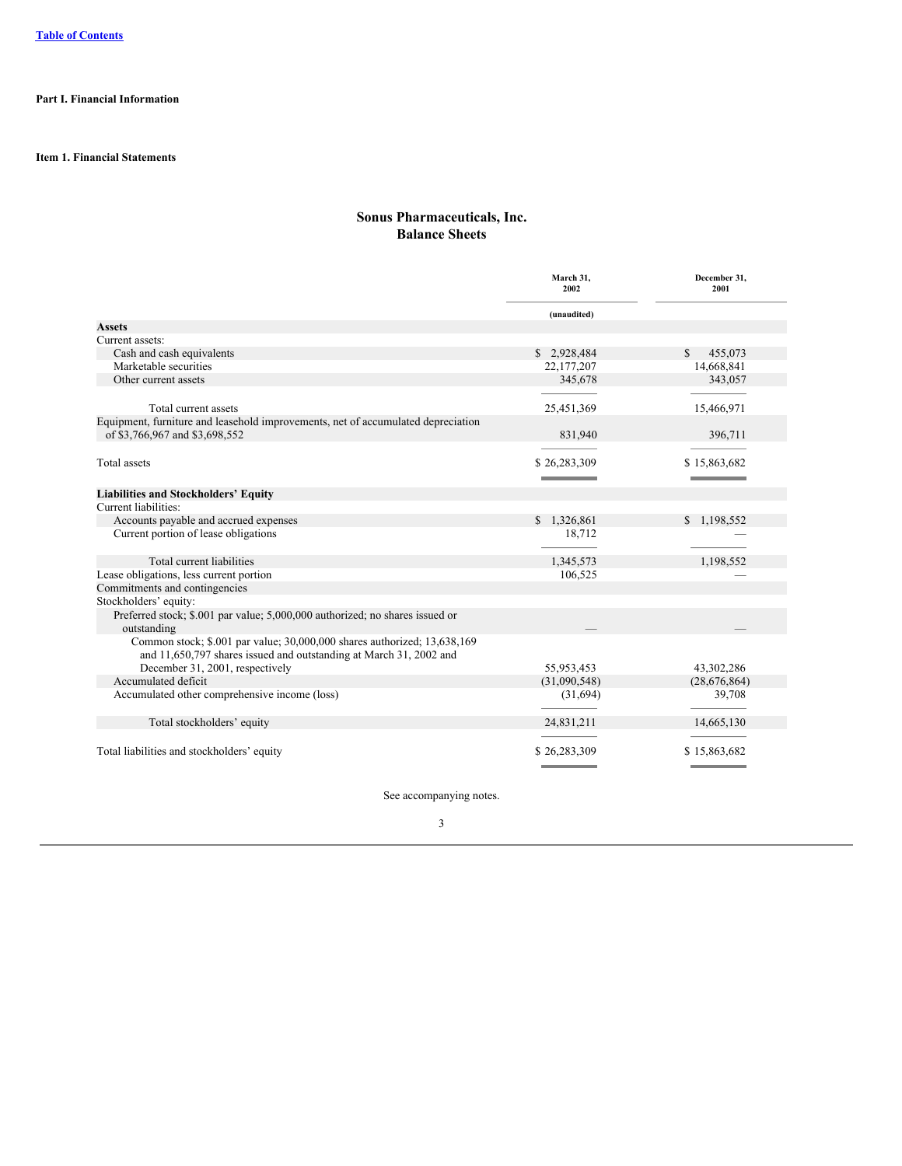## <span id="page-3-1"></span><span id="page-3-0"></span>**Part I. Financial Information**

<span id="page-3-2"></span>**Item 1. Financial Statements**

## **Sonus Pharmaceuticals, Inc. Balance Sheets**

|                                                                                                                                                | March 31.<br>2002            | December 31.<br>2001                   |
|------------------------------------------------------------------------------------------------------------------------------------------------|------------------------------|----------------------------------------|
|                                                                                                                                                | (unaudited)                  |                                        |
| Assets                                                                                                                                         |                              |                                        |
| Current assets:                                                                                                                                |                              |                                        |
| Cash and cash equivalents                                                                                                                      | \$2,928,484                  | 455,073<br>S.                          |
| Marketable securities                                                                                                                          | 22,177,207                   | 14,668,841                             |
| Other current assets                                                                                                                           | 345,678                      | 343,057                                |
| Total current assets                                                                                                                           | 25,451,369                   | 15,466,971                             |
| Equipment, furniture and leasehold improvements, net of accumulated depreciation                                                               |                              |                                        |
| of \$3,766,967 and \$3,698,552                                                                                                                 | 831,940                      | 396,711                                |
|                                                                                                                                                |                              |                                        |
| Total assets                                                                                                                                   | \$26,283,309                 | \$15,863,682                           |
|                                                                                                                                                | <b>International Control</b> | <b>International Contract Contract</b> |
| <b>Liabilities and Stockholders' Equity</b>                                                                                                    |                              |                                        |
| Current liabilities:                                                                                                                           |                              |                                        |
| Accounts payable and accrued expenses                                                                                                          | \$1,326,861                  | \$1,198,552                            |
| Current portion of lease obligations                                                                                                           | 18,712                       |                                        |
| Total current liabilities                                                                                                                      | 1,345,573                    | 1,198,552                              |
| Lease obligations, less current portion                                                                                                        | 106,525                      |                                        |
| Commitments and contingencies                                                                                                                  |                              |                                        |
| Stockholders' equity:                                                                                                                          |                              |                                        |
| Preferred stock; \$.001 par value; 5,000,000 authorized; no shares issued or<br>outstanding                                                    |                              |                                        |
| Common stock; \$.001 par value; 30,000,000 shares authorized; 13,638,169<br>and 11,650,797 shares issued and outstanding at March 31, 2002 and |                              |                                        |
| December 31, 2001, respectively                                                                                                                | 55,953,453                   | 43,302,286                             |
| Accumulated deficit                                                                                                                            | (31,090,548)                 | (28,676,864)                           |
| Accumulated other comprehensive income (loss)                                                                                                  | (31,694)                     | 39,708                                 |
| Total stockholders' equity                                                                                                                     | 24,831,211                   | 14,665,130                             |
| Total liabilities and stockholders' equity                                                                                                     | \$26,283,309                 | \$15,863,682                           |
|                                                                                                                                                |                              |                                        |

See accompanying notes.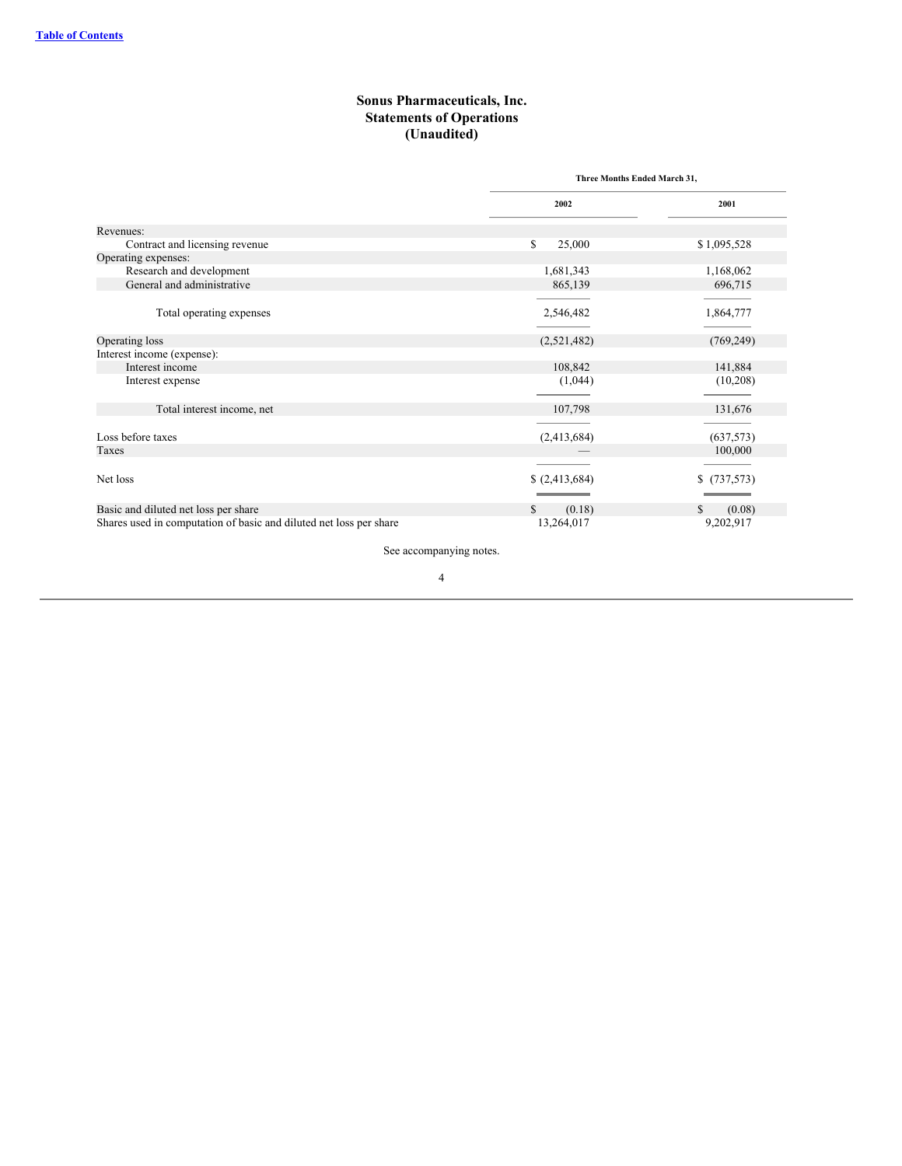## **Sonus Pharmaceuticals, Inc. Statements of Operations (Unaudited)**

<span id="page-4-0"></span>

|                                                                    |                | Three Months Ended March 31, |  |
|--------------------------------------------------------------------|----------------|------------------------------|--|
|                                                                    | 2002           | 2001                         |  |
| Revenues:                                                          |                |                              |  |
| Contract and licensing revenue                                     | \$<br>25,000   | \$1,095,528                  |  |
| Operating expenses:                                                |                |                              |  |
| Research and development                                           | 1,681,343      | 1,168,062                    |  |
| General and administrative                                         | 865,139        | 696,715                      |  |
|                                                                    |                |                              |  |
| Total operating expenses                                           | 2,546,482      | 1,864,777                    |  |
|                                                                    |                |                              |  |
| Operating loss                                                     | (2,521,482)    | (769, 249)                   |  |
| Interest income (expense):                                         |                |                              |  |
| Interest income                                                    | 108,842        | 141,884                      |  |
| Interest expense                                                   | (1,044)        | (10,208)                     |  |
|                                                                    |                |                              |  |
| Total interest income, net                                         | 107,798        | 131,676                      |  |
|                                                                    |                |                              |  |
| Loss before taxes                                                  | (2,413,684)    | (637, 573)                   |  |
| Taxes                                                              |                | 100,000                      |  |
|                                                                    |                |                              |  |
| Net loss                                                           | \$ (2,413,684) | \$(737,573)                  |  |
|                                                                    |                |                              |  |
| Basic and diluted net loss per share                               | \$<br>(0.18)   | (0.08)<br>\$.                |  |
| Shares used in computation of basic and diluted net loss per share | 13,264,017     | 9,202,917                    |  |

See accompanying notes.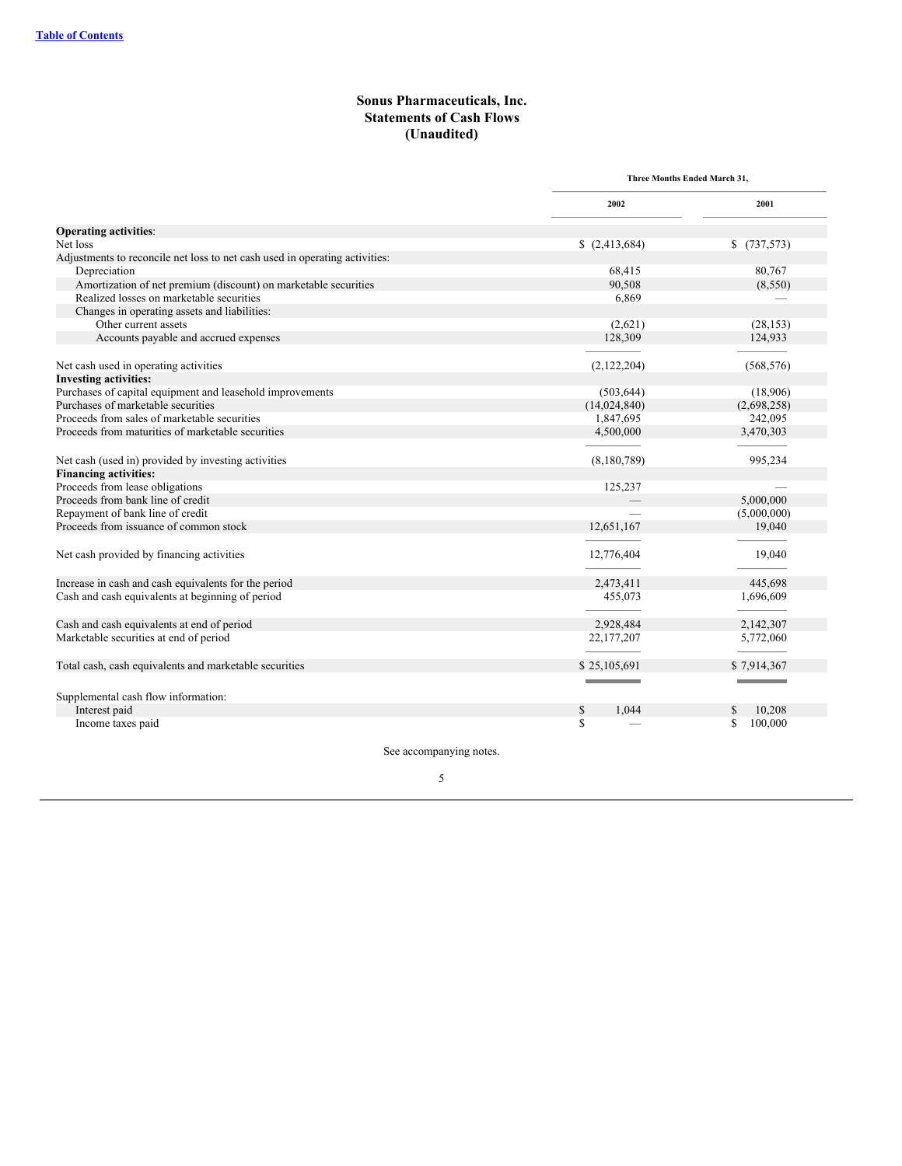## **Sonus Pharmaceuticals, Inc. Statements of Cash Flows (Unaudited)**

<span id="page-5-0"></span>

|                                                                             | Three Months Ended March 31. |             |
|-----------------------------------------------------------------------------|------------------------------|-------------|
|                                                                             | 2002                         | 2001        |
| <b>Operating activities:</b>                                                |                              |             |
| Net loss                                                                    | \$(2,413,684)                | \$(737,573) |
| Adjustments to reconcile net loss to net cash used in operating activities: |                              |             |
| Depreciation                                                                | 68,415                       | 80,767      |
| Amortization of net premium (discount) on marketable securities             | 90,508                       | (8,550)     |
| Realized losses on marketable securities                                    | 6,869                        |             |
| Changes in operating assets and liabilities:                                |                              |             |
| Other current assets                                                        | (2,621)                      | (28, 153)   |
| Accounts payable and accrued expenses                                       | 128,309                      | 124,933     |
|                                                                             |                              |             |
| Net cash used in operating activities                                       | (2,122,204)                  | (568, 576)  |
| <b>Investing activities:</b>                                                |                              |             |
| Purchases of capital equipment and leasehold improvements                   | (503, 644)                   | (18,906)    |
| Purchases of marketable securities                                          | (14,024,840)                 | (2,698,258) |
| Proceeds from sales of marketable securities                                | 1,847,695                    | 242,095     |
| Proceeds from maturities of marketable securities                           | 4,500,000                    | 3,470,303   |
|                                                                             |                              |             |
| Net cash (used in) provided by investing activities                         | (8,180,789)                  | 995,234     |
| <b>Financing activities:</b>                                                |                              |             |
| Proceeds from lease obligations                                             | 125,237                      |             |
| Proceeds from bank line of credit                                           |                              | 5,000,000   |
| Repayment of bank line of credit                                            |                              | (5,000,000) |
| Proceeds from issuance of common stock                                      | 12,651,167                   | 19,040      |
|                                                                             |                              |             |
| Net cash provided by financing activities                                   | 12,776,404                   | 19,040      |
|                                                                             |                              |             |
| Increase in cash and cash equivalents for the period                        | 2,473,411                    | 445,698     |
| Cash and cash equivalents at beginning of period                            | 455,073                      | 1,696,609   |
|                                                                             |                              |             |
| Cash and cash equivalents at end of period                                  | 2,928,484                    | 2,142,307   |
| Marketable securities at end of period                                      | 22, 177, 207                 | 5,772,060   |
|                                                                             |                              |             |
| Total cash, cash equivalents and marketable securities                      | \$25,105,691                 | \$7,914,367 |
|                                                                             |                              |             |
|                                                                             |                              |             |
| Supplemental cash flow information:                                         |                              |             |
| Interest paid                                                               | S<br>1.044                   | 10.208      |
| Income taxes paid                                                           | \$                           | 100,000     |

See accompanying notes.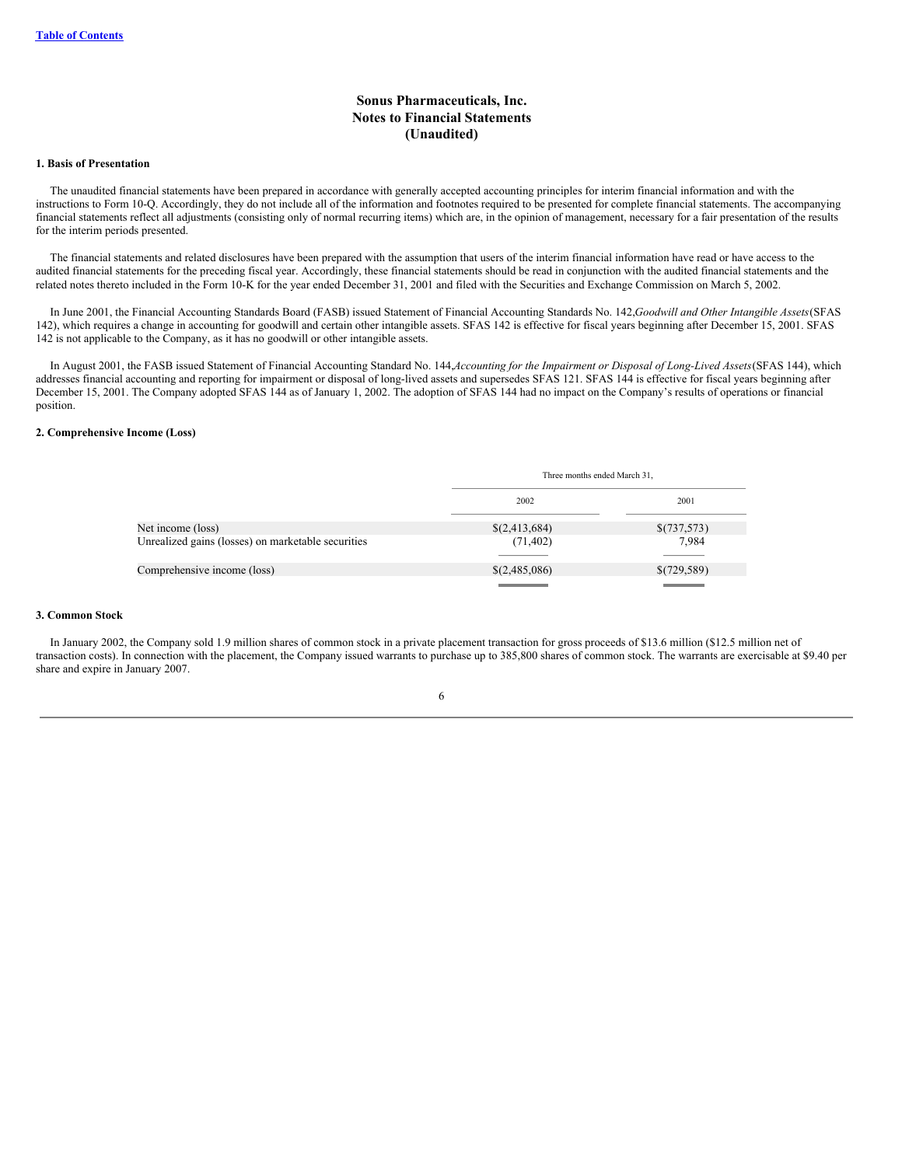## **Sonus Pharmaceuticals, Inc. Notes to Financial Statements (Unaudited)**

### <span id="page-6-0"></span>**1. Basis of Presentation**

The unaudited financial statements have been prepared in accordance with generally accepted accounting principles for interim financial information and with the instructions to Form 10-Q. Accordingly, they do not include all of the information and footnotes required to be presented for complete financial statements. The accompanying financial statements reflect all adjustments (consisting only of normal recurring items) which are, in the opinion of management, necessary for a fair presentation of the results for the interim periods presented.

The financial statements and related disclosures have been prepared with the assumption that users of the interim financial information have read or have access to the audited financial statements for the preceding fiscal year. Accordingly, these financial statements should be read in conjunction with the audited financial statements and the related notes thereto included in the Form 10-K for the year ended December 31, 2001 and filed with the Securities and Exchange Commission on March 5, 2002.

In June 2001, the Financial Accounting Standards Board (FASB) issued Statement of Financial Accounting Standards No. 142,*Goodwill and Other Intangible Assets*(SFAS 142), which requires a change in accounting for goodwill and certain other intangible assets. SFAS 142 is effective for fiscal years beginning after December 15, 2001. SFAS 142 is not applicable to the Company, as it has no goodwill or other intangible assets.

In August 2001, the FASB issued Statement of Financial Accounting Standard No. 144, Accounting for the Impairment or Disposal of Long-Lived Assets (SFAS 144), which addresses financial accounting and reporting for impairment or disposal of long-lived assets and supersedes SFAS 121. SFAS 144 is effective for fiscal years beginning after December 15, 2001. The Company adopted SFAS 144 as of January 1, 2002. The adoption of SFAS 144 had no impact on the Company's results of operations or financial position.

#### **2. Comprehensive Income (Loss)**

|                                                    |               | Three months ended March 31, |  |
|----------------------------------------------------|---------------|------------------------------|--|
|                                                    | 2002          | 2001                         |  |
| Net income (loss)                                  | \$(2,413,684) | \$(737,573)                  |  |
| Unrealized gains (losses) on marketable securities | (71, 402)     | 7,984                        |  |
|                                                    |               |                              |  |
| Comprehensive income (loss)                        | \$(2,485,086) | \$(729,589)                  |  |
|                                                    |               |                              |  |

#### **3. Common Stock**

In January 2002, the Company sold 1.9 million shares of common stock in a private placement transaction for gross proceeds of \$13.6 million (\$12.5 million net of transaction costs). In connection with the placement, the Company issued warrants to purchase up to 385,800 shares of common stock. The warrants are exercisable at \$9.40 per share and expire in January 2007.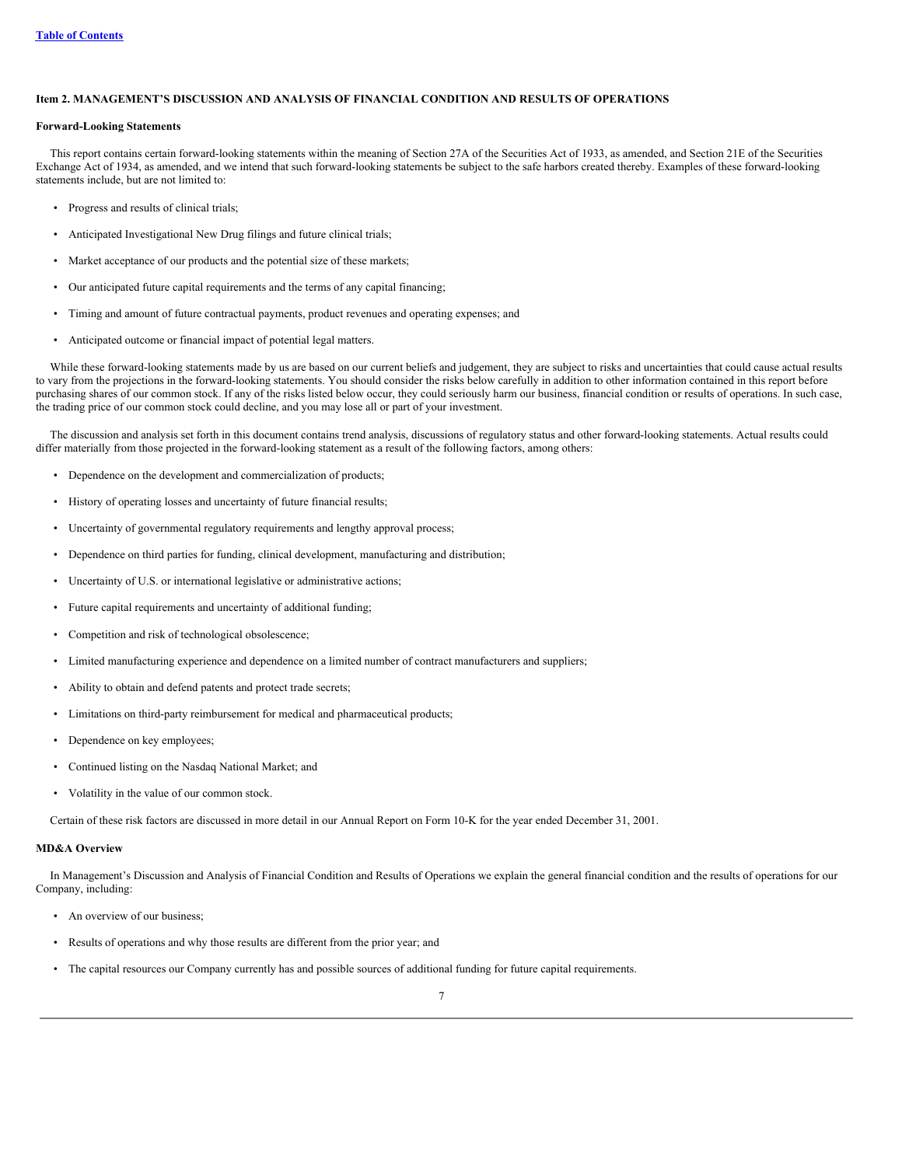## <span id="page-7-0"></span>**Item 2. MANAGEMENT'S DISCUSSION AND ANALYSIS OF FINANCIAL CONDITION AND RESULTS OF OPERATIONS**

### **Forward-Looking Statements**

This report contains certain forward-looking statements within the meaning of Section 27A of the Securities Act of 1933, as amended, and Section 21E of the Securities Exchange Act of 1934, as amended, and we intend that such forward-looking statements be subject to the safe harbors created thereby. Examples of these forward-looking statements include, but are not limited to:

- Progress and results of clinical trials;
- Anticipated Investigational New Drug filings and future clinical trials;
- Market acceptance of our products and the potential size of these markets;
- Our anticipated future capital requirements and the terms of any capital financing;
- Timing and amount of future contractual payments, product revenues and operating expenses; and
- Anticipated outcome or financial impact of potential legal matters.

While these forward-looking statements made by us are based on our current beliefs and judgement, they are subject to risks and uncertainties that could cause actual results to vary from the projections in the forward-looking statements. You should consider the risks below carefully in addition to other information contained in this report before purchasing shares of our common stock. If any of the risks listed below occur, they could seriously harm our business, financial condition or results of operations. In such case, the trading price of our common stock could decline, and you may lose all or part of your investment.

The discussion and analysis set forth in this document contains trend analysis, discussions of regulatory status and other forward-looking statements. Actual results could differ materially from those projected in the forward-looking statement as a result of the following factors, among others:

- Dependence on the development and commercialization of products;
- History of operating losses and uncertainty of future financial results;
- Uncertainty of governmental regulatory requirements and lengthy approval process;
- Dependence on third parties for funding, clinical development, manufacturing and distribution;
- Uncertainty of U.S. or international legislative or administrative actions;
- Future capital requirements and uncertainty of additional funding;
- Competition and risk of technological obsolescence;
- Limited manufacturing experience and dependence on a limited number of contract manufacturers and suppliers;
- Ability to obtain and defend patents and protect trade secrets;
- Limitations on third-party reimbursement for medical and pharmaceutical products;
- Dependence on key employees;
- Continued listing on the Nasdaq National Market; and
- Volatility in the value of our common stock.

Certain of these risk factors are discussed in more detail in our Annual Report on Form 10-K for the year ended December 31, 2001.

### **MD&A Overview**

In Management's Discussion and Analysis of Financial Condition and Results of Operations we explain the general financial condition and the results of operations for our Company, including:

- An overview of our business;
- Results of operations and why those results are different from the prior year; and
- The capital resources our Company currently has and possible sources of additional funding for future capital requirements.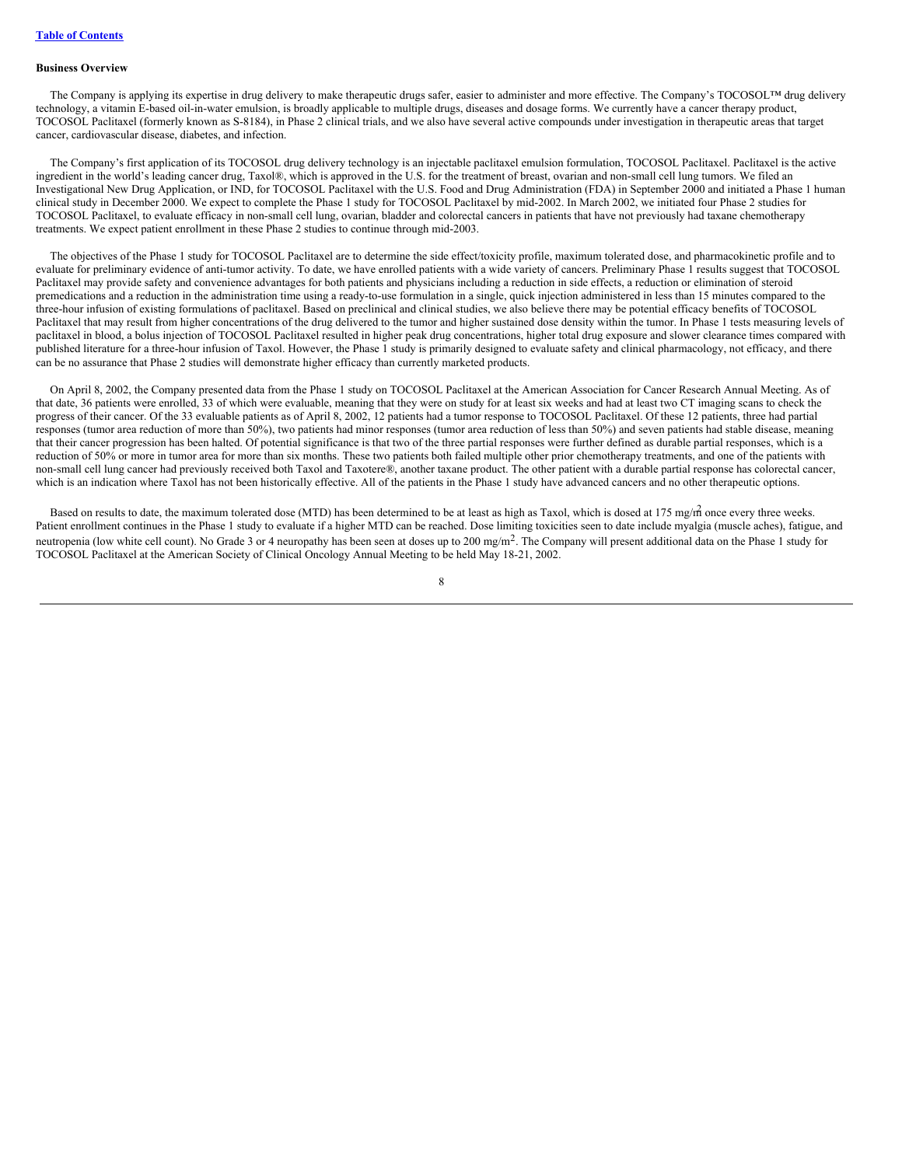#### **Business Overview**

The Company is applying its expertise in drug delivery to make therapeutic drugs safer, easier to administer and more effective. The Company's TOCOSOL™ drug delivery technology, a vitamin E-based oil-in-water emulsion, is broadly applicable to multiple drugs, diseases and dosage forms. We currently have a cancer therapy product, TOCOSOL Paclitaxel (formerly known as S-8184), in Phase 2 clinical trials, and we also have several active compounds under investigation in therapeutic areas that target cancer, cardiovascular disease, diabetes, and infection.

The Company's first application of its TOCOSOL drug delivery technology is an injectable paclitaxel emulsion formulation, TOCOSOL Paclitaxel. Paclitaxel is the active ingredient in the world's leading cancer drug, Taxol®, which is approved in the U.S. for the treatment of breast, ovarian and non-small cell lung tumors. We filed an Investigational New Drug Application, or IND, for TOCOSOL Paclitaxel with the U.S. Food and Drug Administration (FDA) in September 2000 and initiated a Phase 1 human clinical study in December 2000. We expect to complete the Phase 1 study for TOCOSOL Paclitaxel by mid-2002. In March 2002, we initiated four Phase 2 studies for TOCOSOL Paclitaxel, to evaluate efficacy in non-small cell lung, ovarian, bladder and colorectal cancers in patients that have not previously had taxane chemotherapy treatments. We expect patient enrollment in these Phase 2 studies to continue through mid-2003.

The objectives of the Phase 1 study for TOCOSOL Paclitaxel are to determine the side effect/toxicity profile, maximum tolerated dose, and pharmacokinetic profile and to evaluate for preliminary evidence of anti-tumor activity. To date, we have enrolled patients with a wide variety of cancers. Preliminary Phase 1 results suggest that TOCOSOL Paclitaxel may provide safety and convenience advantages for both patients and physicians including a reduction in side effects, a reduction or elimination of steroid premedications and a reduction in the administration time using a ready-to-use formulation in a single, quick injection administered in less than 15 minutes compared to the three-hour infusion of existing formulations of paclitaxel. Based on preclinical and clinical studies, we also believe there may be potential efficacy benefits of TOCOSOL Paclitaxel that may result from higher concentrations of the drug delivered to the tumor and higher sustained dose density within the tumor. In Phase 1 tests measuring levels of paclitaxel in blood, a bolus injection of TOCOSOL Paclitaxel resulted in higher peak drug concentrations, higher total drug exposure and slower clearance times compared with published literature for a three-hour infusion of Taxol. However, the Phase 1 study is primarily designed to evaluate safety and clinical pharmacology, not efficacy, and there can be no assurance that Phase 2 studies will demonstrate higher efficacy than currently marketed products.

On April 8, 2002, the Company presented data from the Phase 1 study on TOCOSOL Paclitaxel at the American Association for Cancer Research Annual Meeting. As of that date, 36 patients were enrolled, 33 of which were evaluable, meaning that they were on study for at least six weeks and had at least two CT imaging scans to check the progress of their cancer. Of the 33 evaluable patients as of April 8, 2002, 12 patients had a tumor response to TOCOSOL Paclitaxel. Of these 12 patients, three had partial responses (tumor area reduction of more than 50%), two patients had minor responses (tumor area reduction of less than 50%) and seven patients had stable disease, meaning that their cancer progression has been halted. Of potential significance is that two of the three partial responses were further defined as durable partial responses, which is a reduction of 50% or more in tumor area for more than six months. These two patients both failed multiple other prior chemotherapy treatments, and one of the patients with non-small cell lung cancer had previously received both Taxol and Taxotere®, another taxane product. The other patient with a durable partial response has colorectal cancer, which is an indication where Taxol has not been historically effective. All of the patients in the Phase 1 study have advanced cancers and no other therapeutic options.

Based on results to date, the maximum tolerated dose (MTD) has been determined to be at least as high as Taxol, which is dosed at 175 mg/m once every three weeks. Patient enrollment continues in the Phase 1 study to evaluate if a higher MTD can be reached. Dose limiting toxicities seen to date include myalgia (muscle aches), fatigue, and neutropenia (low white cell count). No Grade 3 or 4 neuropathy has been seen at doses up to 200 mg/m<sup>2</sup>. The Company will present additional data on the Phase 1 study for TOCOSOL Paclitaxel at the American Society of Clinical Oncology Annual Meeting to be held May 18-21, 2002.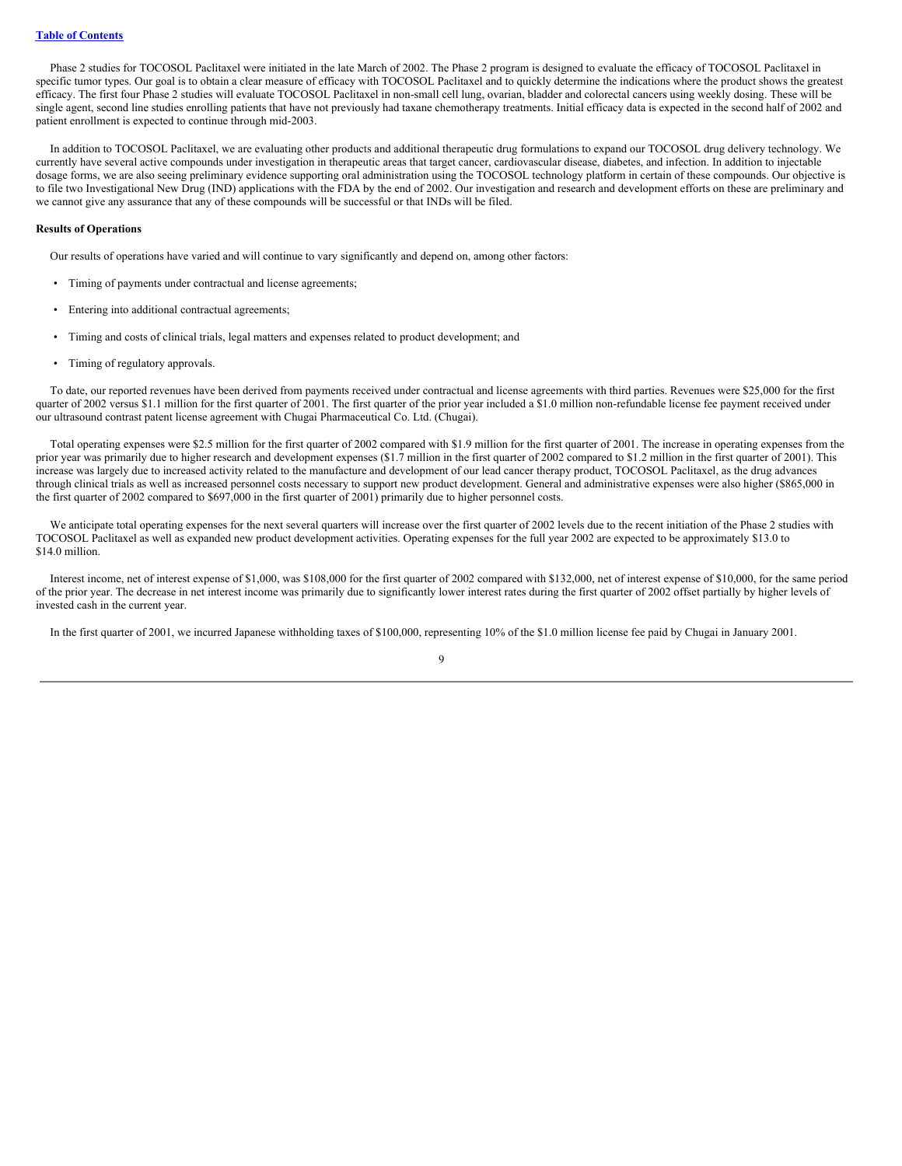Phase 2 studies for TOCOSOL Paclitaxel were initiated in the late March of 2002. The Phase 2 program is designed to evaluate the efficacy of TOCOSOL Paclitaxel in specific tumor types. Our goal is to obtain a clear measure of efficacy with TOCOSOL Paclitaxel and to quickly determine the indications where the product shows the greatest efficacy. The first four Phase 2 studies will evaluate TOCOSOL Paclitaxel in non-small cell lung, ovarian, bladder and colorectal cancers using weekly dosing. These will be single agent, second line studies enrolling patients that have not previously had taxane chemotherapy treatments. Initial efficacy data is expected in the second half of 2002 and patient enrollment is expected to continue through mid-2003.

In addition to TOCOSOL Paclitaxel, we are evaluating other products and additional therapeutic drug formulations to expand our TOCOSOL drug delivery technology. We currently have several active compounds under investigation in therapeutic areas that target cancer, cardiovascular disease, diabetes, and infection. In addition to injectable dosage forms, we are also seeing preliminary evidence supporting oral administration using the TOCOSOL technology platform in certain of these compounds. Our objective is to file two Investigational New Drug (IND) applications with the FDA by the end of 2002. Our investigation and research and development efforts on these are preliminary and we cannot give any assurance that any of these compounds will be successful or that INDs will be filed.

### **Results of Operations**

Our results of operations have varied and will continue to vary significantly and depend on, among other factors:

- Timing of payments under contractual and license agreements;
- Entering into additional contractual agreements;
- Timing and costs of clinical trials, legal matters and expenses related to product development; and
- Timing of regulatory approvals.

To date, our reported revenues have been derived from payments received under contractual and license agreements with third parties. Revenues were \$25,000 for the first quarter of 2002 versus \$1.1 million for the first quarter of 2001. The first quarter of the prior year included a \$1.0 million non-refundable license fee payment received under our ultrasound contrast patent license agreement with Chugai Pharmaceutical Co. Ltd. (Chugai).

Total operating expenses were \$2.5 million for the first quarter of 2002 compared with \$1.9 million for the first quarter of 2001. The increase in operating expenses from the prior year was primarily due to higher research and development expenses (\$1.7 million in the first quarter of 2002 compared to \$1.2 million in the first quarter of 2001). This increase was largely due to increased activity related to the manufacture and development of our lead cancer therapy product, TOCOSOL Paclitaxel, as the drug advances through clinical trials as well as increased personnel costs necessary to support new product development. General and administrative expenses were also higher (\$865,000 in the first quarter of 2002 compared to \$697,000 in the first quarter of 2001) primarily due to higher personnel costs.

We anticipate total operating expenses for the next several quarters will increase over the first quarter of 2002 levels due to the recent initiation of the Phase 2 studies with TOCOSOL Paclitaxel as well as expanded new product development activities. Operating expenses for the full year 2002 are expected to be approximately \$13.0 to \$14.0 million.

Interest income, net of interest expense of \$1,000, was \$108,000 for the first quarter of 2002 compared with \$132,000, net of interest expense of \$10,000, for the same period of the prior year. The decrease in net interest income was primarily due to significantly lower interest rates during the first quarter of 2002 offset partially by higher levels of invested cash in the current year.

In the first quarter of 2001, we incurred Japanese withholding taxes of \$100,000, representing 10% of the \$1.0 million license fee paid by Chugai in January 2001.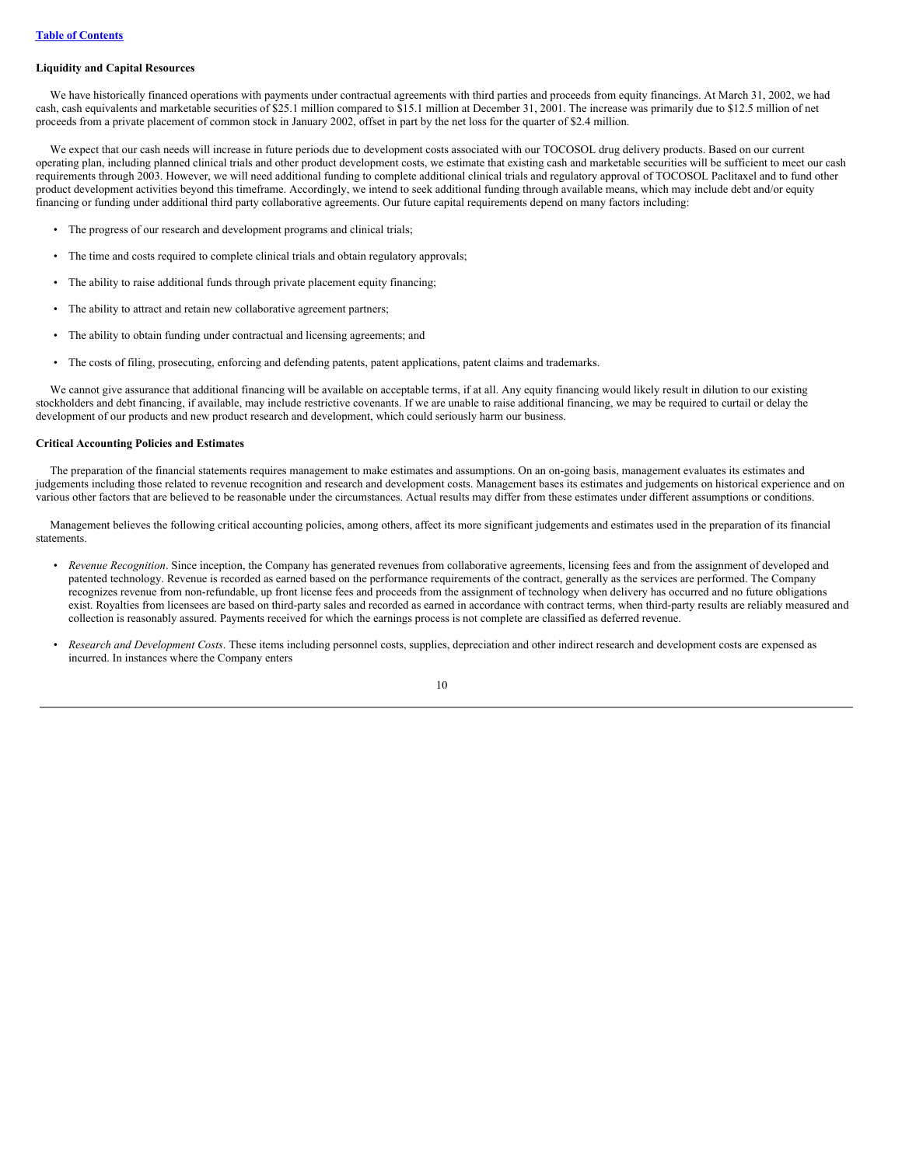#### **Liquidity and Capital Resources**

We have historically financed operations with payments under contractual agreements with third parties and proceeds from equity financings. At March 31, 2002, we had cash, cash equivalents and marketable securities of \$25.1 million compared to \$15.1 million at December 31, 2001. The increase was primarily due to \$12.5 million of net proceeds from a private placement of common stock in January 2002, offset in part by the net loss for the quarter of \$2.4 million.

We expect that our cash needs will increase in future periods due to development costs associated with our TOCOSOL drug delivery products. Based on our current operating plan, including planned clinical trials and other product development costs, we estimate that existing cash and marketable securities will be sufficient to meet our cash requirements through 2003. However, we will need additional funding to complete additional clinical trials and regulatory approval of TOCOSOL Paclitaxel and to fund other product development activities beyond this timeframe. Accordingly, we intend to seek additional funding through available means, which may include debt and/or equity financing or funding under additional third party collaborative agreements. Our future capital requirements depend on many factors including:

- The progress of our research and development programs and clinical trials;
- The time and costs required to complete clinical trials and obtain regulatory approvals;
- The ability to raise additional funds through private placement equity financing;
- The ability to attract and retain new collaborative agreement partners;
- The ability to obtain funding under contractual and licensing agreements; and
- The costs of filing, prosecuting, enforcing and defending patents, patent applications, patent claims and trademarks.

We cannot give assurance that additional financing will be available on acceptable terms, if at all. Any equity financing would likely result in dilution to our existing stockholders and debt financing, if available, may include restrictive covenants. If we are unable to raise additional financing, we may be required to curtail or delay the development of our products and new product research and development, which could seriously harm our business.

### **Critical Accounting Policies and Estimates**

The preparation of the financial statements requires management to make estimates and assumptions. On an on-going basis, management evaluates its estimates and judgements including those related to revenue recognition and research and development costs. Management bases its estimates and judgements on historical experience and on various other factors that are believed to be reasonable under the circumstances. Actual results may differ from these estimates under different assumptions or conditions.

Management believes the following critical accounting policies, among others, affect its more significant judgements and estimates used in the preparation of its financial statements.

- *Revenue Recognition*. Since inception, the Company has generated revenues from collaborative agreements, licensing fees and from the assignment of developed and patented technology. Revenue is recorded as earned based on the performance requirements of the contract, generally as the services are performed. The Company recognizes revenue from non-refundable, up front license fees and proceeds from the assignment of technology when delivery has occurred and no future obligations exist. Royalties from licensees are based on third-party sales and recorded as earned in accordance with contract terms, when third-party results are reliably measured and collection is reasonably assured. Payments received for which the earnings process is not complete are classified as deferred revenue.
- *Research and Development Costs*. These items including personnel costs, supplies, depreciation and other indirect research and development costs are expensed as incurred. In instances where the Company enters

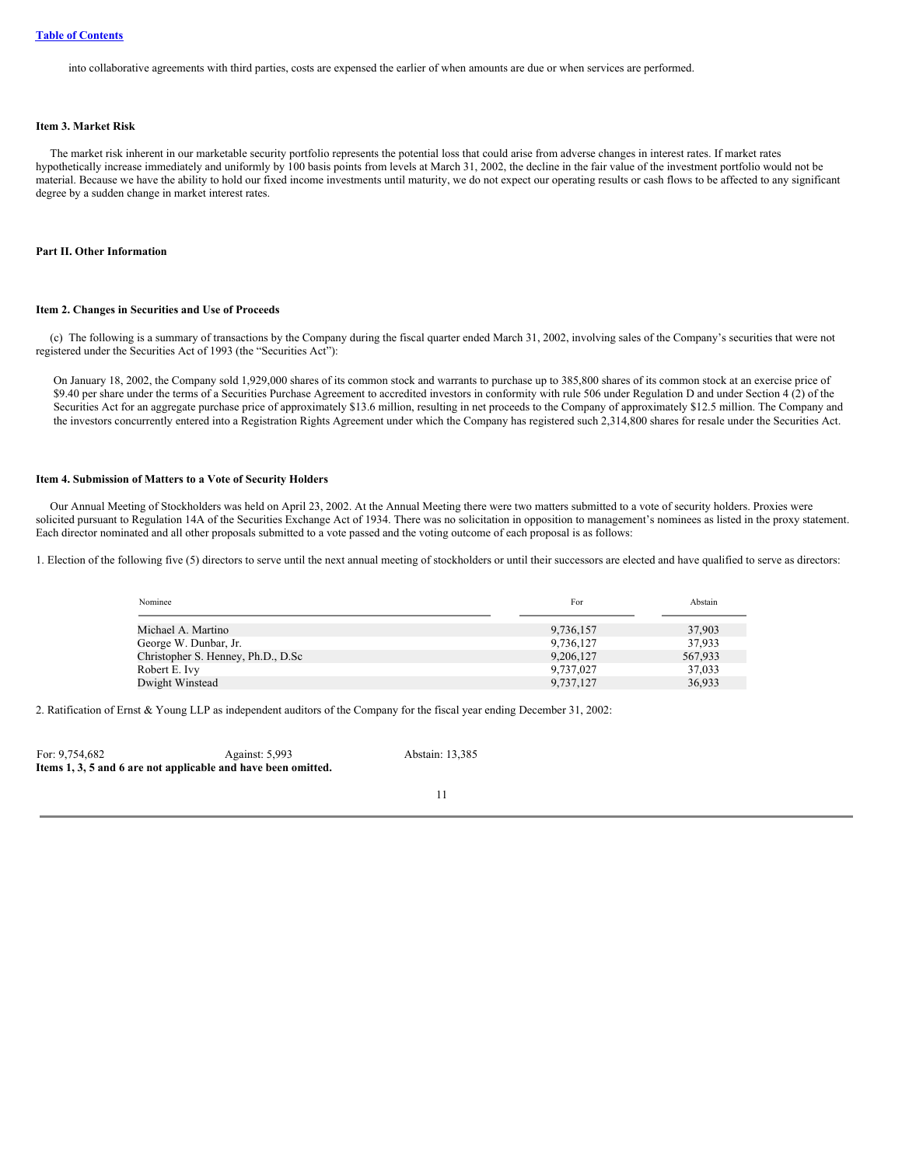into collaborative agreements with third parties, costs are expensed the earlier of when amounts are due or when services are performed.

### <span id="page-11-0"></span>**Item 3. Market Risk**

The market risk inherent in our marketable security portfolio represents the potential loss that could arise from adverse changes in interest rates. If market rates hypothetically increase immediately and uniformly by 100 basis points from levels at March 31, 2002, the decline in the fair value of the investment portfolio would not be material. Because we have the ability to hold our fixed income investments until maturity, we do not expect our operating results or cash flows to be affected to any significant degree by a sudden change in market interest rates.

### <span id="page-11-2"></span><span id="page-11-1"></span>**Part II. Other Information**

#### **Item 2. Changes in Securities and Use of Proceeds**

(c) The following is a summary of transactions by the Company during the fiscal quarter ended March 31, 2002, involving sales of the Company's securities that were not registered under the Securities Act of 1993 (the "Securities Act"):

On January 18, 2002, the Company sold 1,929,000 shares of its common stock and warrants to purchase up to 385,800 shares of its common stock at an exercise price of \$9.40 per share under the terms of a Securities Purchase Agreement to accredited investors in conformity with rule 506 under Regulation D and under Section 4 (2) of the Securities Act for an aggregate purchase price of approximately \$13.6 million, resulting in net proceeds to the Company of approximately \$12.5 million. The Company and the investors concurrently entered into a Registration Rights Agreement under which the Company has registered such 2,314,800 shares for resale under the Securities Act.

### <span id="page-11-3"></span>**Item 4. Submission of Matters to a Vote of Security Holders**

Our Annual Meeting of Stockholders was held on April 23, 2002. At the Annual Meeting there were two matters submitted to a vote of security holders. Proxies were solicited pursuant to Regulation 14A of the Securities Exchange Act of 1934. There was no solicitation in opposition to management's nominees as listed in the proxy statement. Each director nominated and all other proposals submitted to a vote passed and the voting outcome of each proposal is as follows:

1. Election of the following five (5) directors to serve until the next annual meeting of stockholders or until their successors are elected and have qualified to serve as directors:

| Nominee                            | For       | Abstain |
|------------------------------------|-----------|---------|
| Michael A. Martino                 | 9,736,157 | 37,903  |
| George W. Dunbar, Jr.              | 9,736,127 | 37,933  |
| Christopher S. Henney, Ph.D., D.Sc | 9,206,127 | 567,933 |
| Robert E. Ivy                      | 9,737,027 | 37,033  |
| Dwight Winstead                    | 9,737,127 | 36,933  |

2. Ratification of Ernst & Young LLP as independent auditors of the Company for the fiscal year ending December 31, 2002:

| For: 9,754,682                                                | Against: 5,993 | Abstain: 13,385 |
|---------------------------------------------------------------|----------------|-----------------|
| Items 1, 3, 5 and 6 are not applicable and have been omitted. |                |                 |